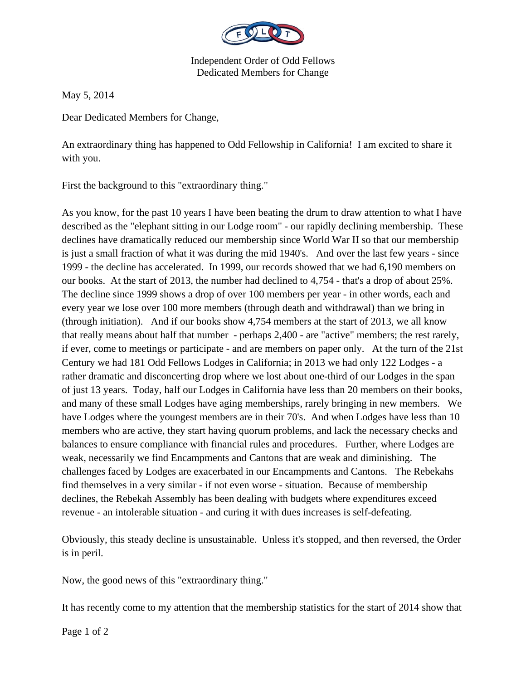

Independent Order of Odd Fellows Dedicated Members for Change

May 5, 2014

Dear Dedicated Members for Change,

An extraordinary thing has happened to Odd Fellowship in California! I am excited to share it with you.

First the background to this "extraordinary thing."

As you know, for the past 10 years I have been beating the drum to draw attention to what I have described as the "elephant sitting in our Lodge room" - our rapidly declining membership. These declines have dramatically reduced our membership since World War II so that our membership is just a small fraction of what it was during the mid 1940's. And over the last few years - since 1999 - the decline has accelerated. In 1999, our records showed that we had 6,190 members on our books. At the start of 2013, the number had declined to 4,754 - that's a drop of about 25%. The decline since 1999 shows a drop of over 100 members per year - in other words, each and every year we lose over 100 more members (through death and withdrawal) than we bring in (through initiation). And if our books show 4,754 members at the start of 2013, we all know that really means about half that number - perhaps 2,400 - are "active" members; the rest rarely, if ever, come to meetings or participate - and are members on paper only. At the turn of the 21st Century we had 181 Odd Fellows Lodges in California; in 2013 we had only 122 Lodges - a rather dramatic and disconcerting drop where we lost about one-third of our Lodges in the span of just 13 years. Today, half our Lodges in California have less than 20 members on their books, and many of these small Lodges have aging memberships, rarely bringing in new members. We have Lodges where the youngest members are in their 70's. And when Lodges have less than 10 members who are active, they start having quorum problems, and lack the necessary checks and balances to ensure compliance with financial rules and procedures. Further, where Lodges are weak, necessarily we find Encampments and Cantons that are weak and diminishing. The challenges faced by Lodges are exacerbated in our Encampments and Cantons. The Rebekahs find themselves in a very similar - if not even worse - situation. Because of membership declines, the Rebekah Assembly has been dealing with budgets where expenditures exceed revenue - an intolerable situation - and curing it with dues increases is self-defeating.

Obviously, this steady decline is unsustainable. Unless it's stopped, and then reversed, the Order is in peril.

Now, the good news of this "extraordinary thing."

It has recently come to my attention that the membership statistics for the start of 2014 show that